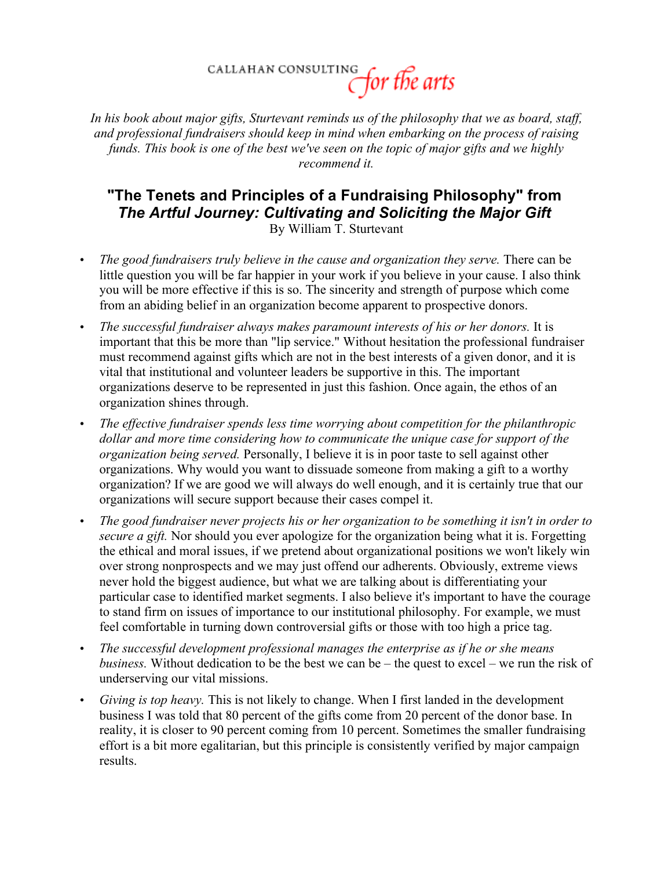CALLAHAN CONSULTING for the arts

*In his book about major gifts, Sturtevant reminds us of the philosophy that we as board, staff, and professional fundraisers should keep in mind when embarking on the process of raising funds. This book is one of the best we've seen on the topic of major gifts and we highly recommend it.*

## **"The Tenets and Principles of a Fundraising Philosophy" from** *The Artful Journey: Cultivating and Soliciting the Major Gift* By William T. Sturtevant

- *The good fundraisers truly believe in the cause and organization they serve.* There can be little question you will be far happier in your work if you believe in your cause. I also think you will be more effective if this is so. The sincerity and strength of purpose which come from an abiding belief in an organization become apparent to prospective donors.
- *The successful fundraiser always makes paramount interests of his or her donors.* It is important that this be more than "lip service." Without hesitation the professional fundraiser must recommend against gifts which are not in the best interests of a given donor, and it is vital that institutional and volunteer leaders be supportive in this. The important organizations deserve to be represented in just this fashion. Once again, the ethos of an organization shines through.
- *The effective fundraiser spends less time worrying about competition for the philanthropic dollar and more time considering how to communicate the unique case for support of the organization being served.* Personally, I believe it is in poor taste to sell against other organizations. Why would you want to dissuade someone from making a gift to a worthy organization? If we are good we will always do well enough, and it is certainly true that our organizations will secure support because their cases compel it.
- *The good fundraiser never projects his or her organization to be something it isn't in order to secure a gift.* Nor should you ever apologize for the organization being what it is. Forgetting the ethical and moral issues, if we pretend about organizational positions we won't likely win over strong nonprospects and we may just offend our adherents. Obviously, extreme views never hold the biggest audience, but what we are talking about is differentiating your particular case to identified market segments. I also believe it's important to have the courage to stand firm on issues of importance to our institutional philosophy. For example, we must feel comfortable in turning down controversial gifts or those with too high a price tag.
- *The successful development professional manages the enterprise as if he or she means business.* Without dedication to be the best we can be – the quest to excel – we run the risk of underserving our vital missions.
- *Giving is top heavy.* This is not likely to change. When I first landed in the development business I was told that 80 percent of the gifts come from 20 percent of the donor base. In reality, it is closer to 90 percent coming from 10 percent. Sometimes the smaller fundraising effort is a bit more egalitarian, but this principle is consistently verified by major campaign results.